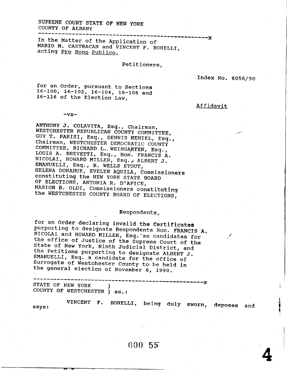## SUPREME COURT STATE OF NEW YORK COUNTY OF ALBANY

In the Matter of the Application of MARIO M. CASTRACAN and VINCENT F. BONELLI, acting Pro Bono Publico,

## Petitioners,

Index No. 6056/90

Affidavit

for an Order, pursuant to Sections  $16-100$ ,  $16-102$ ,  $16-104$ ,  $16-106$  and 16-116 of the Election Law,

 $-vs-$ 

ANTHONY J. COLAVITA, Esq., Chairman, WESTCHESTER REPUBLICAN COUNTY COMMITTEE, GUY T. PARISI, Esq., DENNIS MEHIEL, Esq., Chairman, WESTCHESTER DEMOCRATIC COUNTY COMMITTEE, RICHARD L. WEINGARTEN, Esq., LOUIS A. BREVETTI, Esq., Hon. FRANCIS A. NICOLAI, HOWARD MILLER, Esq., ALBERT J. EMANUELLI, Esq., R. WELLS STOUT, HELENA DONAHUE, EVELYN AQUILA, Commissioners constituting the NEW YORK STATE BOARD OF ELECTIONS, ANTONIA R. D'APICE, MARION B. OLDI, Commissioners constituting the WESTCHESTER COUNTY BOARD OF ELECTIONS,

## Respondents,

for an Order declaring invalid the Certificates purporting to designate Respondents Hon. FRANCIS A. NICOLAI and HOWARD MILLER, Esq. as candidates for the office of Justice of the Supreme Court of the State of New York, Ninth Judicial District, and the Petitions purporting to designate ALBERT J. EMANUELLI, Esq. a candidate for the office of Surrogate of Westchester County to be held in the general election of November 6, 1990.

STATE OF NEW YORK COUNTY OF WESTCHESTER ) ss.:

VINCENT F. BONELLI, being duly sworn, deposes and says: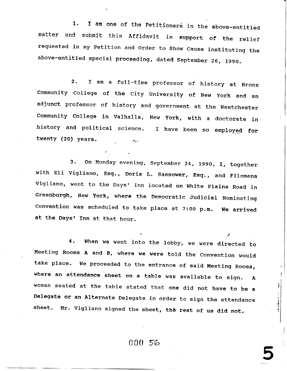1. I am one of the Petitioners in the above-entitl matter and submit this Affidavit in support of the relie requested in my Petition and Order to Show Cause instituting the above-entitled special proceeding, dated September 26, 1990.

2. f am a full-time professor of history at Bronx Community College of the City University of New York and an adjunct professor of history and government at the Westcheste Comnunity College in Valhalla, New york, with a doctorate in history and political science. I have been so employed fo: twenty (20) years. l. '

3. On Monday evening, September 24, 1990, I, togethe with Eli Vigliano, Esq., Doris L. Sassower, Esq., and Filomena Vigliano, went to the Days' Inn located on White Plains Road in Greenburgh, New york, where the Democratic Judicial Noninating Convention was scheduled to take place at 7:00 p.m. We arrived at the Days' Inn at that hour.

When we went into the lobby, we were directed to 4. Meeting Rooms A and B, where we were told the Convention would take place. we proceeded to the entrance of said Meeting Rooms, where an attendance sheet on a table was available to sign. A woman seated at the table stated that one did not have to be a Delegate or an Alternate Delegate in order to sign the attendance sheet. Mr. Vigliano signed the sheet, the rest of us did not.

I : i t i

P 3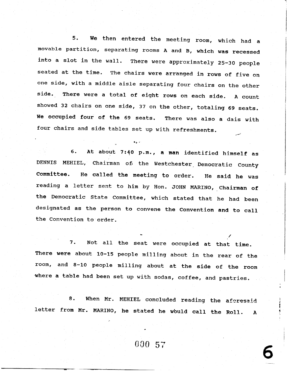5. We then entered the meeting room, which had a movable partition, separating rooms A and B, which was recessed into a slot in the wall. There were approximately 25-30 people seated at the tine. The chairs were arranged in rows of five on one side, with a middle aisle separating four chairs on the other side. There were a total of eight rows on each side. A count showed 32 chairs on one side, 37 on the other, totaling 69 seats. We occupied four of the 69 seats. There was also a dais with four chairs and side tables set up with refreshments.

6. At about 7:40 p.m., a man identified himself as DENNIS MEHIEL, Chairman of the Westchester Democratic County Committee. He called the meeting to order. He said he was reading a letter sent to him by Hon. JOHN MARINO, Chairman of the Democratic State Committee, which stated that he had been designated as the person to convene the Convention and to eall the Convention to order

.,

ti'

7. Not all the seat were occupied at that time. There were about  $10-15$  people milling about in the rear of the room, and 8-10 people milling about at the side of the room 'where a table had been set up with sodas, coffee, and pastries.

8. When Mr. MEHIEL concluded reading the aforesaid letter from Mr. MARINO, he stated he wbuld call the Roll. A

 $\frac{000}{57}$  6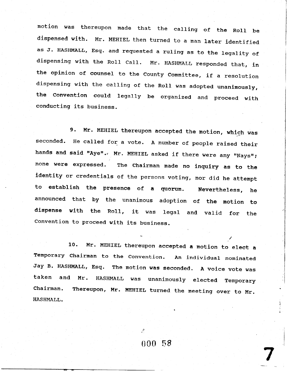motion was thereupon made that the calling of the Roll be dispensed with. Mr. MEHIEL then turned to a man later identified as J. HASHMALL, Esq. and requested a ruling as to the legality of dispensing with the Roll Call. Mr. HASHMALL responded that, in the opinion of counsel to the County Committee, if a resolution dispensing with the calling of the Roll was adopted unanimously, the Convention could legally be organized and proceed with conducting its business.

Mr. MEHIEL thereupon accepted the motion, which was 9. seconded. He called for a vote. A number of people raised their hands and said "Aye". Mr. MEHIEL asked if there were any "Nays"; none were expressed. The Chairman made no inquiry as to the identity or credentials of the persons voting, nor did he attempt to establish the presence of a quorum. Nevertheless, he announced that by the unanimous adoption of the motion to dispense with the Roll, it was legal and valid for the Convention to proceed with its business.

Mr. MEHIEL thereupon accepted a motion to elect a 10. Temporary Chairman to the Convention. An individual nominated Jay B. HASHMALL, Esq. The motion was seconded. A voice vote was taken and Mr. HASHMALL was unanimously elected Temporary Thereupon, Mr. MEHIEL turned the meeting over to Mr. Chairman. HASHMALL.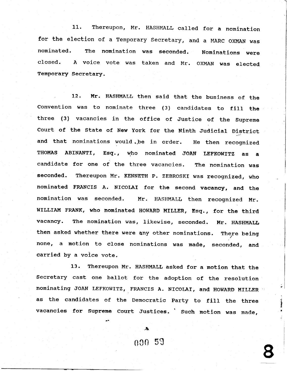11. Thereupon, Mr. HASHMALL called for a nomination for the election of a Temporary Secretary, and a MARC OXMAN was nominated- The nomination was seconded. Nominations were closed. A voice vote was taken and Mr. OXMAN was elected Temporary Secretary.

12. Mr. HASHMALL then said that the business of the Convention was to nominate three (3) candidates to fill the three (3) vacancies in the office of Justice of the Supreme Court of the State of New York for the Ninth Judicial District and that nominations would .,be in order. He then recognized THOMAS ABINANTI, Esq., who nominated JOAN LEFKOWITZ as a candidate for one of the three vacancies. The nomination was seconded. Thereupon Mr. KENNETH P. ZEBROSKI was recognized, who nominated FRANCIS A. NICOLAI for the second vacancy, and the nomination was seconded. Mr. HASHMALL then recognized Mr. WILLIAM FRANK, who nominated HOWARD MILLER, Esq., for the third vacancy. The nomination was, likewise, seconded. Mr. HASHMALL then asked whether there were any other nominations. There being none, a motion to close nominations was made, seconded, and carried by a voice vote.

13. Thereupon Mr. HASHMALL asked for a motion that the Secretary cast one ballot for the adoption of the resolution nominating JOAN LEFKOWITZ, FRANCIS A. NICOLAI, and HOWARD MILLER as the candidates of the Democratic Party to fill the three vacancies for Supreme Court Justices. ' Such motion was made,

000 59

.+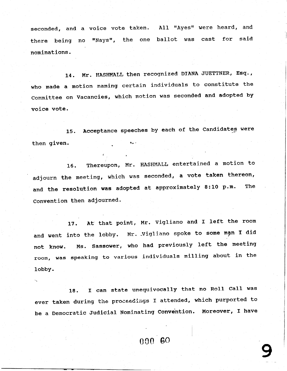seconded, and a voice vote taken. All "Ayes" were heard, and there being no "Nays", the one ballot was cast for said nominations.

14. Mr. HASHMALL then recognized DIANA JUETTNER, Esq., who made a motion naming certain individuals to constitute the Conmittee on Vacancies, which motion was seconded and adopted by voice vote.

15. Acceptance speeches by each of the Candidates were then given

16. Thereupon, Mr. HASHMALL entertained a motion to adjourn the meeting, which was seconded, a vote taken thereon and the resolution was adopted at approximately 8:10 p.m. The Convention then adjourned.

17. At that point, Mr. Vigliano and I left the room and went into the lobby. Mr. Vigliano spoke to some man I did not know. Ms. sassower, who had previously left the meeting room, was speaking to various individuals milling about in the Iobby.

18. I can state unequivocally that no Roll Call was ever taken during the proceedings I attended, which purported to be a Democratic Judicial Nominating Convention. Moreover, I have

000 60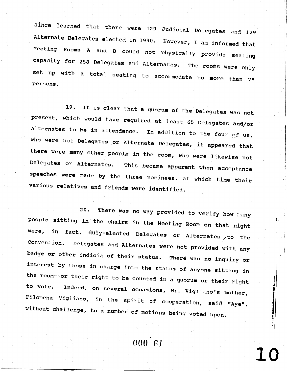since learned that there were 129 Judicial Delegates and 129 Alternate Delegates elected in 1990. However, I am informed that Meeting Rooms A and B could not physically provide seating capacity for 258 Delegates and Alternates. The rooms were only set up with a total seating to accommodate no more than 75 persons.

19. It is clear that a quorum of the Delegates was not present, which would have required at least 65 Delegates and/or Alternates to be in attendance. In addition to the four of us, who were not Delegates or Alternate Delegates, it appeared that there were many other people in the room, who were likewise not Delegates or Alternates. This became apparent when acceptance speeches were made by the three nominees, at which time their various relatives and friends were identified.

There was no way provided to verify how many  $20.$ people sitting in the chairs in the Meeting Room on that night were, in fact, duly-elected Delegates or Alternates to the Convention. Delegates and Alternates were not provided with any badge or other indicia of their status. There was no inquiry or interest by those in charge into the status of anyone sitting in the room--or their right to be counted in a quorum or their right to vote. Indeed, on several occasions, Mr. Vigliano's mother, Filomena Vigliano, in the spirit of cooperation, said "Aye", without challenge, to a number of motions being voted upon.

 $000^{\degree}61$